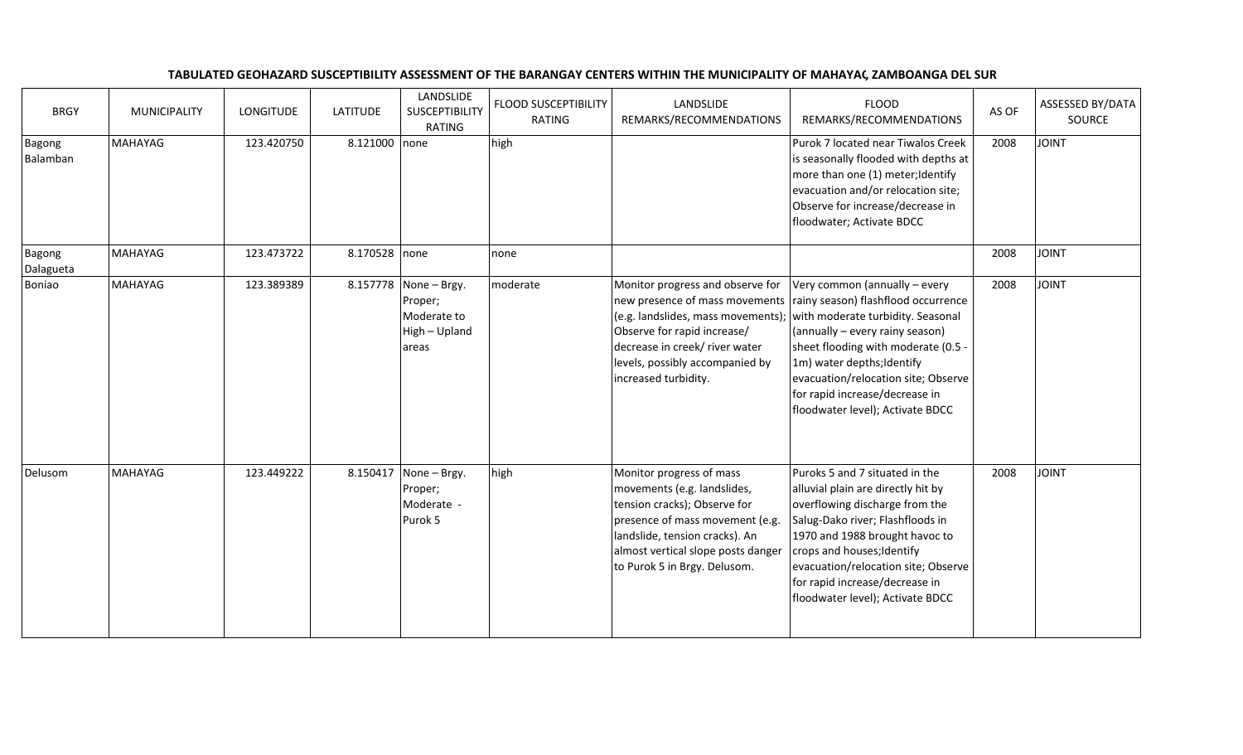## TABULATED GEOHAZARD SUSCEPTIBILITY ASSESSMENT OF THE BARANGAY CENTERS WITHIN THE MUNICIPALITY OF MAHAYAG, ZAMBOANGA DEL SUR

| <b>BRGY</b>         | <b>MUNICIPALITY</b> | <b>LONGITUDE</b> | <b>LATITUDE</b> | LANDSLIDE<br>SUSCEPTIBILITY<br><b>RATING</b>                              | <b>FLOOD SUSCEPTIBILITY</b><br><b>RATING</b> | LANDSLIDE<br>REMARKS/RECOMMENDATIONS                                                                                                                                                                                               | <b>FLOOD</b><br>REMARKS/RECOMMENDATIONS                                                                                                                                                                                                                                                                                                                         | AS OF | <b>ASSESSED BY/DATA</b><br>SOURCE |
|---------------------|---------------------|------------------|-----------------|---------------------------------------------------------------------------|----------------------------------------------|------------------------------------------------------------------------------------------------------------------------------------------------------------------------------------------------------------------------------------|-----------------------------------------------------------------------------------------------------------------------------------------------------------------------------------------------------------------------------------------------------------------------------------------------------------------------------------------------------------------|-------|-----------------------------------|
| Bagong<br>Balamban  | <b>MAHAYAG</b>      | 123.420750       | 8.121000 none   |                                                                           | high                                         |                                                                                                                                                                                                                                    | Purok 7 located near Tiwalos Creek<br>is seasonally flooded with depths at<br>more than one (1) meter; Identify<br>evacuation and/or relocation site;<br>Observe for increase/decrease in<br>floodwater; Activate BDCC                                                                                                                                          | 2008  | <b>TVIOL</b>                      |
| Bagong<br>Dalagueta | <b>MAHAYAG</b>      | 123.473722       | 8.170528 none   |                                                                           | none                                         |                                                                                                                                                                                                                                    |                                                                                                                                                                                                                                                                                                                                                                 | 2008  | <b>TAIOL</b>                      |
| Boniao              | <b>MAHAYAG</b>      | 123.389389       |                 | 8.157778 None - Brgy.<br>Proper;<br>Moderate to<br>High - Upland<br>areas | moderate                                     | Monitor progress and observe for<br>(e.g. landslides, mass movements);<br>Observe for rapid increase/<br>decrease in creek/ river water<br>levels, possibly accompanied by<br>increased turbidity.                                 | Very common (annually – every<br>new presence of mass movements   rainy season) flashflood occurrence<br>with moderate turbidity. Seasonal<br>(annually - every rainy season)<br>sheet flooding with moderate (0.5 -<br>1m) water depths; Identify<br>evacuation/relocation site; Observe<br>for rapid increase/decrease in<br>floodwater level); Activate BDCC | 2008  | <b>TINIOL</b>                     |
| Delusom             | MAHAYAG             | 123.449222       | 8.150417        | None - Brgy.<br>Proper;<br>Moderate -<br>Purok 5                          | high                                         | Monitor progress of mass<br>movements (e.g. landslides,<br>tension cracks); Observe for<br>presence of mass movement (e.g.<br>landslide, tension cracks). An<br>almost vertical slope posts danger<br>to Purok 5 in Brgy. Delusom. | Puroks 5 and 7 situated in the<br>alluvial plain are directly hit by<br>overflowing discharge from the<br>Salug-Dako river; Flashfloods in<br>1970 and 1988 brought havoc to<br>crops and houses; Identify<br>evacuation/relocation site; Observe<br>for rapid increase/decrease in<br>floodwater level); Activate BDCC                                         | 2008  | <b>TAIOL</b>                      |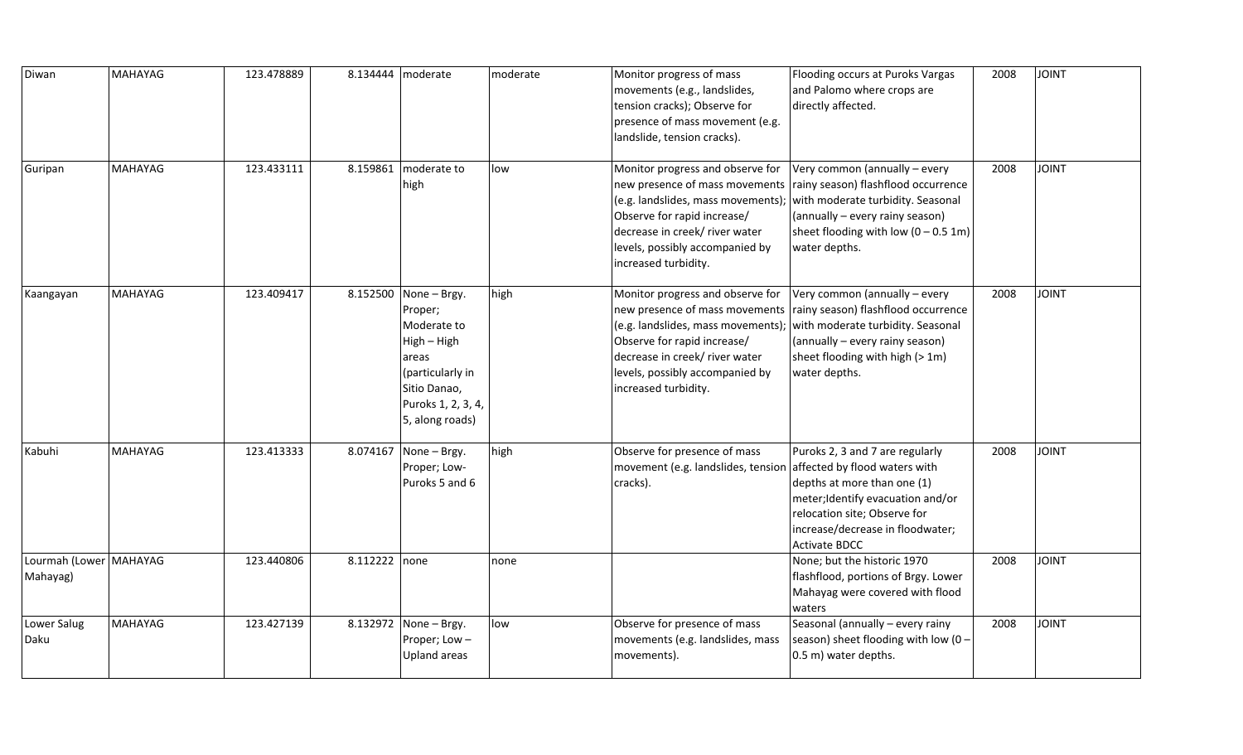| Diwan                                | <b>MAHAYAG</b> | 123.478889 |               | 8.134444   moderate                                                                                                                                  | moderate | Monitor progress of mass<br>movements (e.g., landslides,<br>tension cracks); Observe for<br>presence of mass movement (e.g.<br>landslide, tension cracks).                                           | Flooding occurs at Puroks Vargas<br>and Palomo where crops are<br>directly affected.                                                                                                                                                     | 2008 | <b>JOINT</b> |
|--------------------------------------|----------------|------------|---------------|------------------------------------------------------------------------------------------------------------------------------------------------------|----------|------------------------------------------------------------------------------------------------------------------------------------------------------------------------------------------------------|------------------------------------------------------------------------------------------------------------------------------------------------------------------------------------------------------------------------------------------|------|--------------|
| Guripan                              | <b>MAHAYAG</b> | 123.433111 | 8.159861      | moderate to<br>high                                                                                                                                  | low      | Monitor progress and observe for<br>$(e.g.$ landslides, mass movements);<br>Observe for rapid increase/<br>decrease in creek/ river water<br>levels, possibly accompanied by<br>increased turbidity. | Very common (annually - every<br>new presence of mass movements   rainy season) flashflood occurrence<br>with moderate turbidity. Seasonal<br>(annually - every rainy season)<br>sheet flooding with low $(0 - 0.5 1m)$<br>water depths. | 2008 | <b>JOINT</b> |
| Kaangayan                            | <b>MAHAYAG</b> | 123.409417 |               | 8.152500 None - Brgy.<br>Proper;<br>Moderate to<br>High - High<br>areas<br>(particularly in<br>Sitio Danao,<br>Puroks 1, 2, 3, 4,<br>5, along roads) | high     | Monitor progress and observe for<br>(e.g. landslides, mass movements);<br>Observe for rapid increase/<br>decrease in creek/ river water<br>levels, possibly accompanied by<br>increased turbidity.   | Very common (annually – every<br>new presence of mass movements rainy season) flashflood occurrence<br>with moderate turbidity. Seasonal<br>(annually - every rainy season)<br>sheet flooding with high (> 1m)<br>water depths.          | 2008 | <b>JOINT</b> |
| Kabuhi                               | <b>MAHAYAG</b> | 123.413333 |               | 8.074167 None - Brgy.<br>Proper; Low-<br>Puroks 5 and 6                                                                                              | high     | Observe for presence of mass<br>movement (e.g. landslides, tension affected by flood waters with<br>cracks).                                                                                         | Puroks 2, 3 and 7 are regularly<br>depths at more than one (1)<br>meter; Identify evacuation and/or<br>relocation site; Observe for<br>increase/decrease in floodwater;<br><b>Activate BDCC</b>                                          | 2008 | <b>JOINT</b> |
| Lourmah (Lower   MAHAYAG<br>Mahayag) |                | 123.440806 | 8.112222 none |                                                                                                                                                      | none     |                                                                                                                                                                                                      | None; but the historic 1970<br>flashflood, portions of Brgy. Lower<br>Mahayag were covered with flood<br>waters                                                                                                                          | 2008 | <b>JOINT</b> |
| Lower Salug<br>Daku                  | <b>MAHAYAG</b> | 123.427139 |               | 8.132972 None - Brgy.<br>Proper; Low-<br><b>Upland areas</b>                                                                                         | low      | Observe for presence of mass<br>movements (e.g. landslides, mass<br>movements).                                                                                                                      | Seasonal (annually - every rainy<br>season) sheet flooding with low (0 -<br>0.5 m) water depths.                                                                                                                                         | 2008 | <b>JOINT</b> |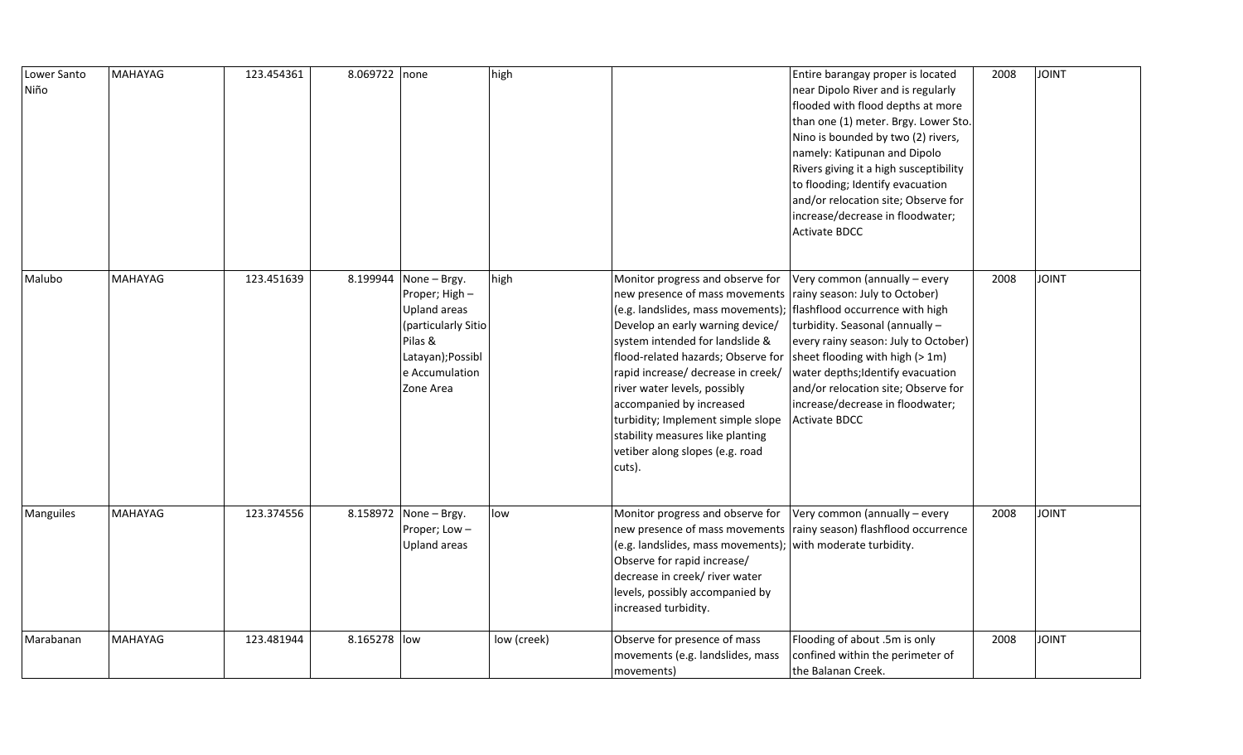| Lower Santo<br>Niño | MAHAYAG        | 123.454361 | 8.069722 none |                                                                                                                                      | high        |                                                                                                                                                                                                                                                                                                                                                                                                                                                                                                                | Entire barangay proper is located<br>near Dipolo River and is regularly<br>flooded with flood depths at more<br>than one (1) meter. Brgy. Lower Sto.<br>Nino is bounded by two (2) rivers,<br>namely: Katipunan and Dipolo<br>Rivers giving it a high susceptibility<br>to flooding; Identify evacuation<br>and/or relocation site; Observe for<br>increase/decrease in floodwater;<br><b>Activate BDCC</b> | 2008 | <b>JOINT</b> |
|---------------------|----------------|------------|---------------|--------------------------------------------------------------------------------------------------------------------------------------|-------------|----------------------------------------------------------------------------------------------------------------------------------------------------------------------------------------------------------------------------------------------------------------------------------------------------------------------------------------------------------------------------------------------------------------------------------------------------------------------------------------------------------------|-------------------------------------------------------------------------------------------------------------------------------------------------------------------------------------------------------------------------------------------------------------------------------------------------------------------------------------------------------------------------------------------------------------|------|--------------|
| Malubo              | <b>MAHAYAG</b> | 123.451639 | 8.199944      | None - Brgy.<br>Proper; High -<br>Upland areas<br>(particularly Sitio<br>Pilas &<br>Latayan); Possibl<br>e Accumulation<br>Zone Area | high        | Monitor progress and observe for<br>new presence of mass movements rainy season: July to October)<br>(e.g. landslides, mass movements);   flashflood occurrence with high<br>Develop an early warning device/<br>system intended for landslide &<br>flood-related hazards; Observe for<br>rapid increase/ decrease in creek/<br>river water levels, possibly<br>accompanied by increased<br>turbidity; Implement simple slope<br>stability measures like planting<br>vetiber along slopes (e.g. road<br>cuts). | Very common (annually $-$ every<br>turbidity. Seasonal (annually -<br>every rainy season: July to October)<br>sheet flooding with high (> 1m)<br>water depths; Identify evacuation<br>and/or relocation site; Observe for<br>increase/decrease in floodwater;<br><b>Activate BDCC</b>                                                                                                                       | 2008 | <b>JOINT</b> |
| Manguiles           | <b>MAHAYAG</b> | 123.374556 |               | 8.158972 None - Brgy.<br>Proper; Low-<br>Upland areas                                                                                | low         | Monitor progress and observe for<br>(e.g. landslides, mass movements); with moderate turbidity.<br>Observe for rapid increase/<br>decrease in creek/ river water<br>levels, possibly accompanied by<br>increased turbidity.                                                                                                                                                                                                                                                                                    | Very common (annually $-$ every<br>new presence of mass movements rainy season) flashflood occurrence                                                                                                                                                                                                                                                                                                       | 2008 | <b>JOINT</b> |
| Marabanan           | MAHAYAG        | 123.481944 | 8.165278 low  |                                                                                                                                      | low (creek) | Observe for presence of mass<br>movements (e.g. landslides, mass<br>movements)                                                                                                                                                                                                                                                                                                                                                                                                                                 | Flooding of about .5m is only<br>confined within the perimeter of<br>the Balanan Creek.                                                                                                                                                                                                                                                                                                                     | 2008 | <b>JOINT</b> |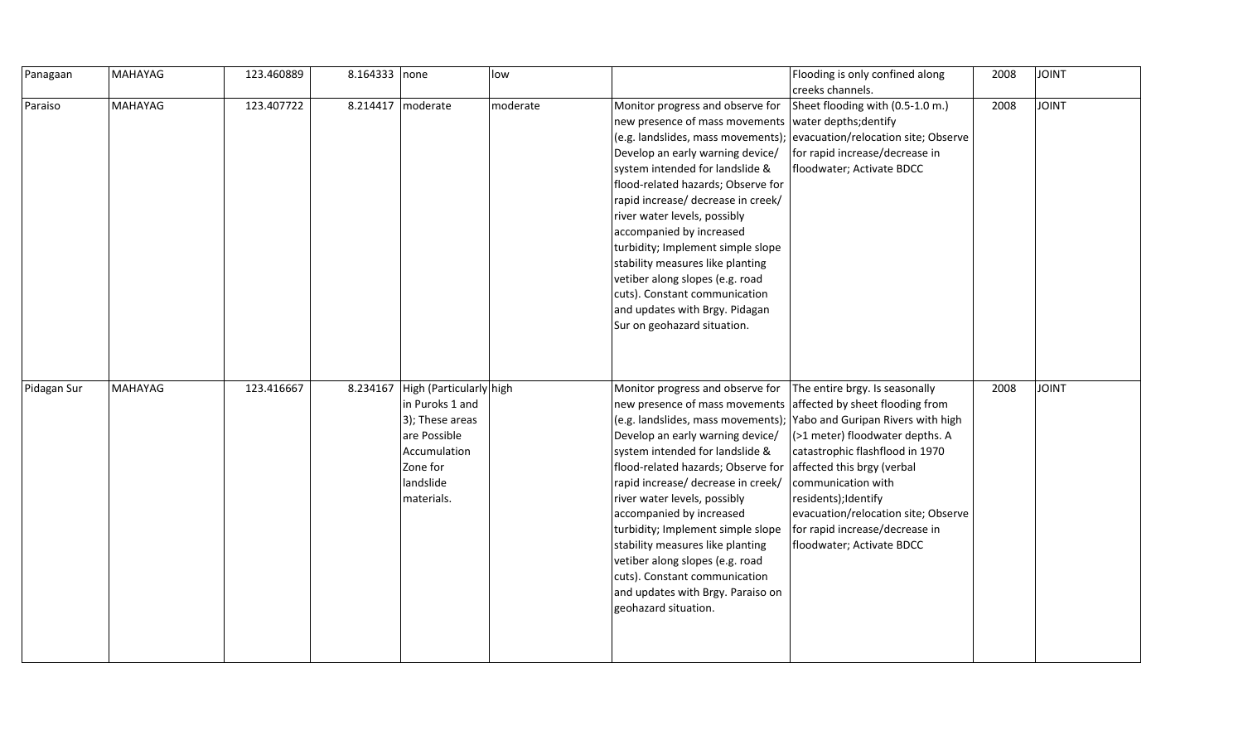| Panagaan    | MAHAYAG | 123.460889 | 8.164333 none |                                                                                                                                      | low      |                                                                                                                                                                                                                                                                                                                                                                                                                                                                                                                         | Flooding is only confined along<br>creeks channels.                                                                                                                                                                                                                                                                                                                                              | 2008 | <b>JOINT</b> |
|-------------|---------|------------|---------------|--------------------------------------------------------------------------------------------------------------------------------------|----------|-------------------------------------------------------------------------------------------------------------------------------------------------------------------------------------------------------------------------------------------------------------------------------------------------------------------------------------------------------------------------------------------------------------------------------------------------------------------------------------------------------------------------|--------------------------------------------------------------------------------------------------------------------------------------------------------------------------------------------------------------------------------------------------------------------------------------------------------------------------------------------------------------------------------------------------|------|--------------|
| Paraiso     | MAHAYAG | 123.407722 | 8.214417      | moderate                                                                                                                             | moderate | Monitor progress and observe for<br>new presence of mass movements   water depths; dentify<br>Develop an early warning device/<br>system intended for landslide &<br>flood-related hazards; Observe for<br>rapid increase/ decrease in creek/<br>river water levels, possibly<br>accompanied by increased<br>turbidity; Implement simple slope<br>stability measures like planting<br>vetiber along slopes (e.g. road<br>cuts). Constant communication<br>and updates with Brgy. Pidagan<br>Sur on geohazard situation. | Sheet flooding with (0.5-1.0 m.)<br>(e.g. landslides, mass movements); evacuation/relocation site; Observe<br>for rapid increase/decrease in<br>floodwater; Activate BDCC                                                                                                                                                                                                                        | 2008 | <b>JOINT</b> |
| Pidagan Sur | MAHAYAG | 123.416667 | 8.234167      | High (Particularly high<br>in Puroks 1 and<br>3); These areas<br>are Possible<br>Accumulation<br>Zone for<br>landslide<br>materials. |          | Monitor progress and observe for<br>new presence of mass movements<br>Develop an early warning device/<br>system intended for landslide &<br>flood-related hazards; Observe for<br>rapid increase/ decrease in creek/<br>river water levels, possibly<br>accompanied by increased<br>turbidity; Implement simple slope<br>stability measures like planting<br>vetiber along slopes (e.g. road<br>cuts). Constant communication<br>and updates with Brgy. Paraiso on<br>geohazard situation.                             | The entire brgy. Is seasonally<br>affected by sheet flooding from<br>(e.g. landslides, mass movements); Yabo and Guripan Rivers with high<br>(>1 meter) floodwater depths. A<br>catastrophic flashflood in 1970<br>affected this brgy (verbal<br>communication with<br>residents);Identify<br>evacuation/relocation site; Observe<br>for rapid increase/decrease in<br>floodwater; Activate BDCC | 2008 | <b>JOINT</b> |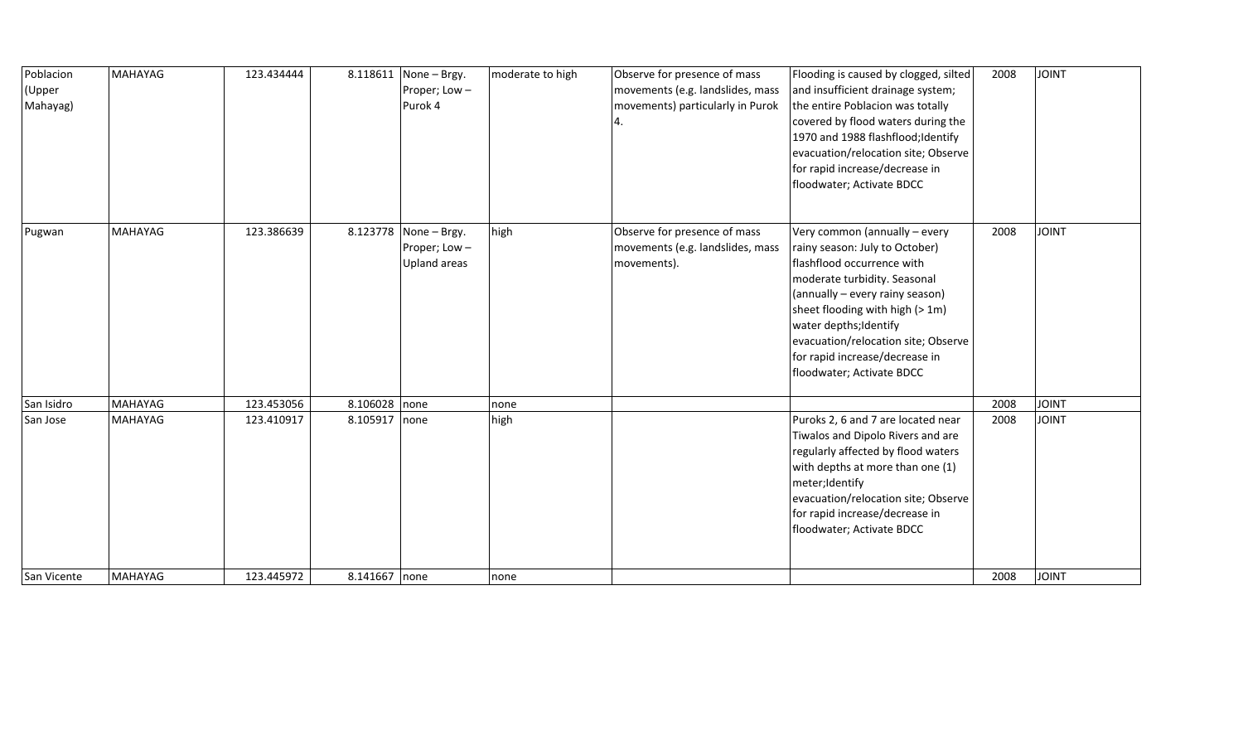| Poblacion<br>(Upper<br>Mahayag) | MAHAYAG        | 123.434444 | 8.118611      | None - Brgy.<br>Proper; Low-<br>Purok 4               | moderate to high | Observe for presence of mass<br>movements (e.g. landslides, mass<br>movements) particularly in Purok<br>4. | Flooding is caused by clogged, silted<br>and insufficient drainage system;<br>the entire Poblacion was totally<br>covered by flood waters during the<br>1970 and 1988 flashflood; Identify<br>evacuation/relocation site; Observe<br>for rapid increase/decrease in<br>floodwater; Activate BDCC                                    | 2008 | <b>JOINT</b> |
|---------------------------------|----------------|------------|---------------|-------------------------------------------------------|------------------|------------------------------------------------------------------------------------------------------------|-------------------------------------------------------------------------------------------------------------------------------------------------------------------------------------------------------------------------------------------------------------------------------------------------------------------------------------|------|--------------|
| Pugwan                          | <b>MAHAYAG</b> | 123.386639 |               | 8.123778 None - Brgy.<br>Proper; Low-<br>Upland areas | high             | Observe for presence of mass<br>movements (e.g. landslides, mass<br>movements).                            | Very common (annually - every<br>rainy season: July to October)<br>flashflood occurrence with<br>moderate turbidity. Seasonal<br>(annually - every rainy season)<br>sheet flooding with high (> 1m)<br>water depths; Identify<br>evacuation/relocation site; Observe<br>for rapid increase/decrease in<br>floodwater; Activate BDCC | 2008 | <b>JOINT</b> |
| San Isidro                      | MAHAYAG        | 123.453056 | 8.106028 none |                                                       | none             |                                                                                                            |                                                                                                                                                                                                                                                                                                                                     | 2008 | <b>JOINT</b> |
| San Jose                        | <b>MAHAYAG</b> | 123.410917 | 8.105917 none |                                                       | high             |                                                                                                            | Puroks 2, 6 and 7 are located near<br>Tiwalos and Dipolo Rivers and are<br>regularly affected by flood waters<br>with depths at more than one (1)<br>meter;Identify<br>evacuation/relocation site; Observe<br>for rapid increase/decrease in<br>floodwater; Activate BDCC                                                           | 2008 | <b>JOINT</b> |
| San Vicente                     | MAHAYAG        | 123.445972 | 8.141667 none |                                                       | none             |                                                                                                            |                                                                                                                                                                                                                                                                                                                                     | 2008 | <b>JOINT</b> |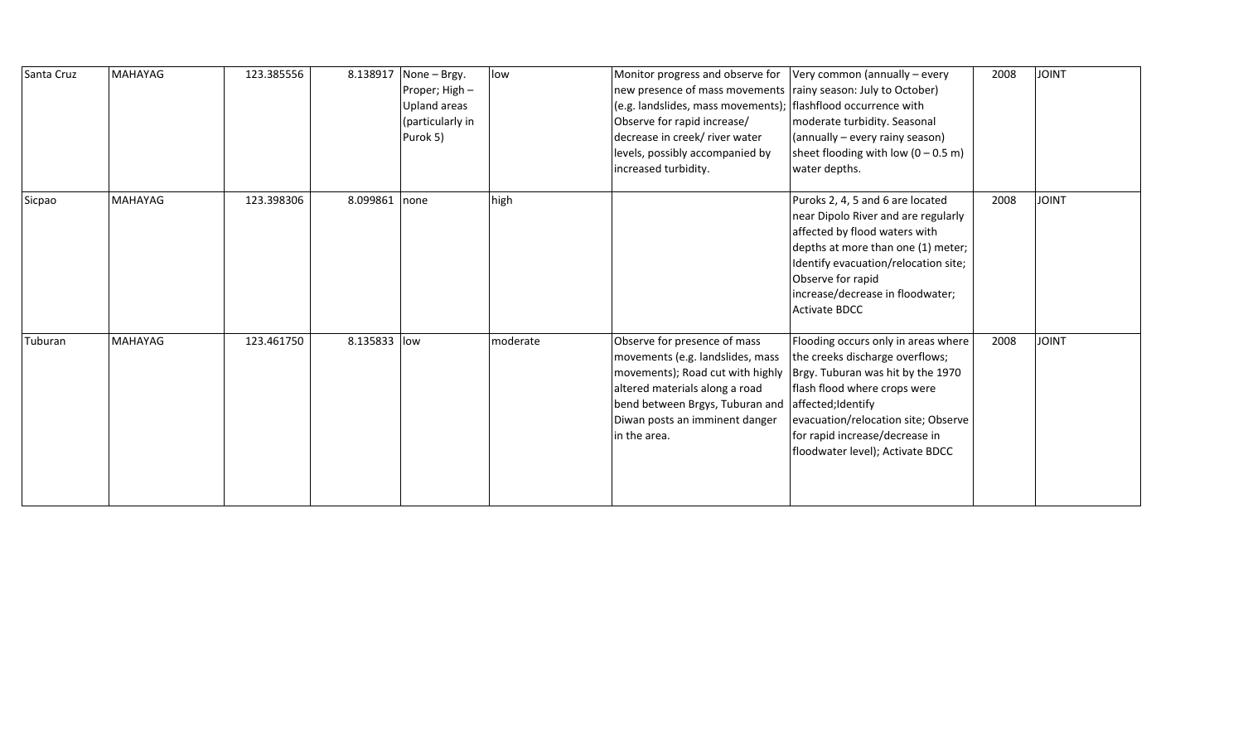| Santa Cruz | MAHAYAG        | 123.385556 | 8.138917     | None - Brgy.<br>Proper; High -<br>Upland areas<br>(particularly in<br>Purok 5) | low      | Monitor progress and observe for<br>new presence of mass movements<br>(e.g. landslides, mass movements);<br>Observe for rapid increase/<br>decrease in creek/ river water<br>levels, possibly accompanied by<br>increased turbidity. | Very common (annually - every<br>rainy season: July to October)<br>flashflood occurrence with<br>moderate turbidity. Seasonal<br>(annually – every rainy season)<br>sheet flooding with low $(0 - 0.5 \text{ m})$<br>water depths.                                            | 2008 | <b>JOINT</b> |
|------------|----------------|------------|--------------|--------------------------------------------------------------------------------|----------|--------------------------------------------------------------------------------------------------------------------------------------------------------------------------------------------------------------------------------------|-------------------------------------------------------------------------------------------------------------------------------------------------------------------------------------------------------------------------------------------------------------------------------|------|--------------|
| Sicpao     | <b>MAHAYAG</b> | 123.398306 | 8.099861     | none                                                                           | high     |                                                                                                                                                                                                                                      | Puroks 2, 4, 5 and 6 are located<br>near Dipolo River and are regularly<br>affected by flood waters with<br>depths at more than one (1) meter;<br>Identify evacuation/relocation site;<br>Observe for rapid<br>increase/decrease in floodwater;<br>Activate BDCC              | 2008 | <b>JOINT</b> |
| Tuburan    | <b>MAHAYAG</b> | 123.461750 | 8.135833 low |                                                                                | moderate | Observe for presence of mass<br>movements (e.g. landslides, mass<br>movements); Road cut with highly<br>altered materials along a road<br>bend between Brgys, Tuburan and<br>Diwan posts an imminent danger<br>in the area.          | Flooding occurs only in areas where<br>the creeks discharge overflows;<br>Brgy. Tuburan was hit by the 1970<br>flash flood where crops were<br>affected;Identify<br>evacuation/relocation site; Observe<br>for rapid increase/decrease in<br>floodwater level); Activate BDCC | 2008 | <b>JOINT</b> |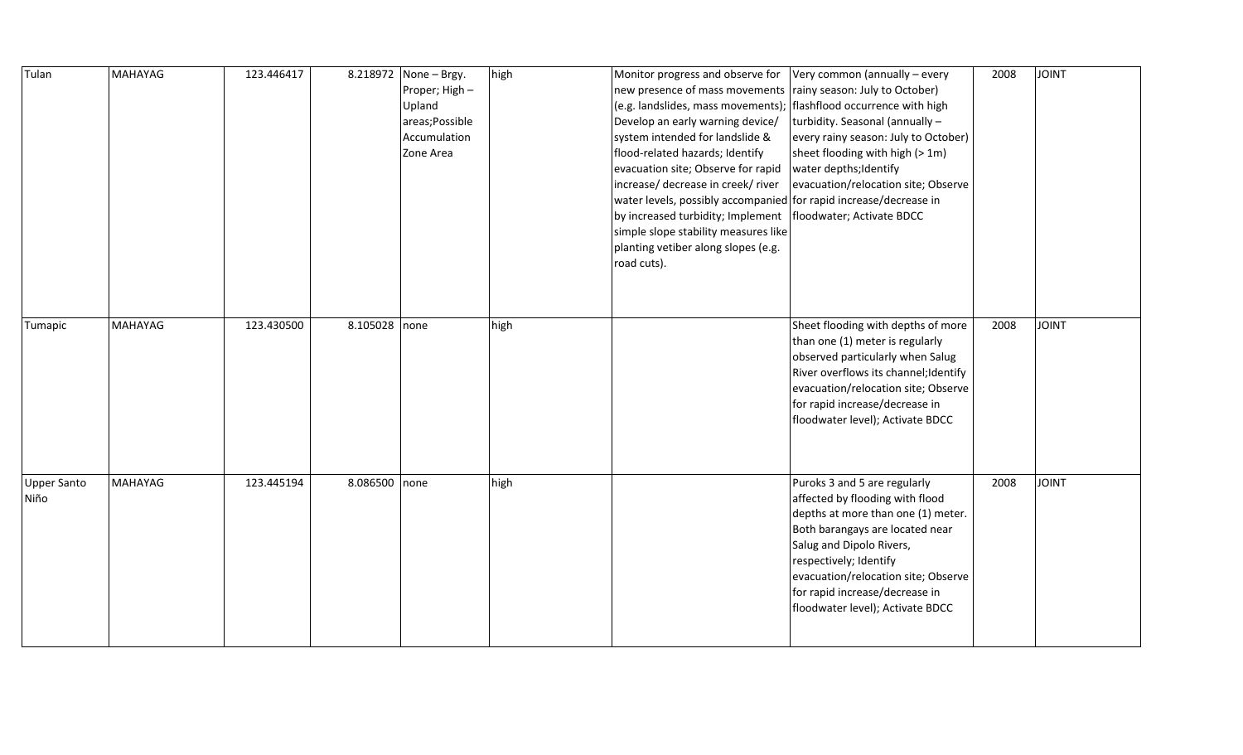| Tulan                      | <b>MAHAYAG</b> | 123.446417 | 8.218972      | None - Brgy.<br>Proper; High -<br>Upland<br>areas; Possible<br>Accumulation<br>Zone Area | high | Monitor progress and observe for<br>new presence of mass movements<br>(e.g. landslides, mass movements);<br>Develop an early warning device/<br>system intended for landslide &<br>flood-related hazards; Identify<br>evacuation site; Observe for rapid<br>increase/ decrease in creek/ river<br>water levels, possibly accompanied for rapid increase/decrease in<br>by increased turbidity; Implement<br>simple slope stability measures like<br>planting vetiber along slopes (e.g.<br>road cuts). | Very common (annually - every<br>rainy season: July to October)<br>flashflood occurrence with high<br>turbidity. Seasonal (annually -<br>every rainy season: July to October)<br>sheet flooding with high (> 1m)<br>water depths; Identify<br>evacuation/relocation site; Observe<br>floodwater; Activate BDCC | 2008 | <b>JOINT</b> |
|----------------------------|----------------|------------|---------------|------------------------------------------------------------------------------------------|------|--------------------------------------------------------------------------------------------------------------------------------------------------------------------------------------------------------------------------------------------------------------------------------------------------------------------------------------------------------------------------------------------------------------------------------------------------------------------------------------------------------|----------------------------------------------------------------------------------------------------------------------------------------------------------------------------------------------------------------------------------------------------------------------------------------------------------------|------|--------------|
| Tumapic                    | MAHAYAG        | 123.430500 | 8.105028      | none                                                                                     | high |                                                                                                                                                                                                                                                                                                                                                                                                                                                                                                        | Sheet flooding with depths of more<br>than one (1) meter is regularly<br>observed particularly when Salug<br>River overflows its channel; Identify<br>evacuation/relocation site; Observe<br>for rapid increase/decrease in<br>floodwater level); Activate BDCC                                                | 2008 | <b>JOINT</b> |
| <b>Upper Santo</b><br>Niño | MAHAYAG        | 123.445194 | 8.086500 none |                                                                                          | high |                                                                                                                                                                                                                                                                                                                                                                                                                                                                                                        | Puroks 3 and 5 are regularly<br>affected by flooding with flood<br>depths at more than one (1) meter.<br>Both barangays are located near<br>Salug and Dipolo Rivers,<br>respectively; Identify<br>evacuation/relocation site; Observe<br>for rapid increase/decrease in<br>floodwater level); Activate BDCC    | 2008 | <b>JOINT</b> |